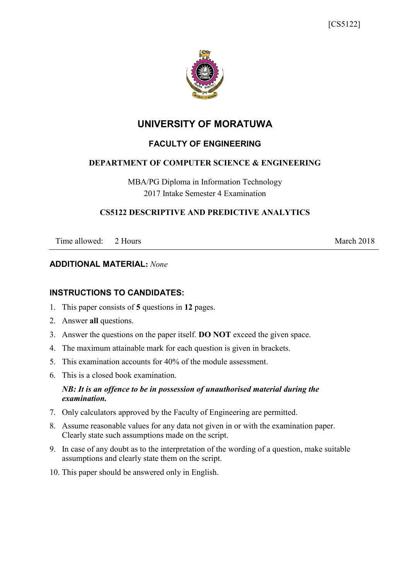

# **UNIVERSITY OF MORATUWA**

# **FACULTY OF ENGINEERING**

## **DEPARTMENT OF COMPUTER SCIENCE & ENGINEERING**

MBA/PG Diploma in Information Technology 2017 Intake Semester 4 Examination

## **CS5122 DESCRIPTIVE AND PREDICTIVE ANALYTICS**

Time allowed: 2 Hours March 2018

## **ADDITIONAL MATERIAL:** *None*

## **INSTRUCTIONS TO CANDIDATES:**

- 1. This paper consists of **5** questions in **12** pages.
- 2. Answer **all** questions.
- 3. Answer the questions on the paper itself. **DO NOT** exceed the given space.
- 4. The maximum attainable mark for each question is given in brackets.
- 5. This examination accounts for 40% of the module assessment.
- 6. This is a closed book examination.

## *NB: It is an offence to be in possession of unauthorised material during the examination.*

- 7. Only calculators approved by the Faculty of Engineering are permitted.
- 8. Assume reasonable values for any data not given in or with the examination paper. Clearly state such assumptions made on the script.
- 9. In case of any doubt as to the interpretation of the wording of a question, make suitable assumptions and clearly state them on the script.
- 10. This paper should be answered only in English.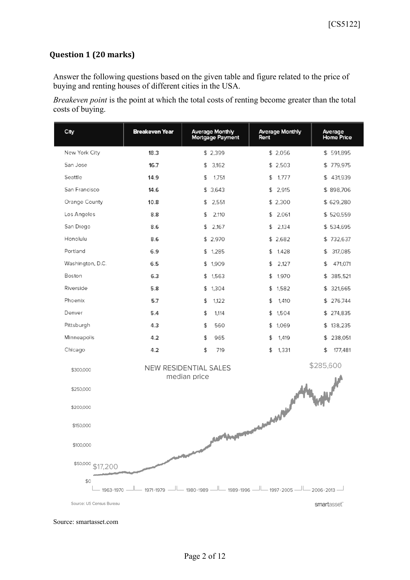# **Question 1 (20 marks)**

Answer the following questions based on the given table and figure related to the price of buying and renting houses of different cities in the USA.

*Breakeven point* is the point at which the total costs of renting become greater than the total costs of buying.

| City                     | <b>Breakeven Year</b> | <b>Average Monthly</b><br>Mortgage Payment        | <b>Average Monthly</b><br>Rent | Average<br><b>Home Price</b> |
|--------------------------|-----------------------|---------------------------------------------------|--------------------------------|------------------------------|
| New York City            | 18.3                  | \$2,399                                           | \$2,056                        | \$591,895                    |
| San Jose                 | 16.7                  | 3,162<br>\$                                       | \$2,503                        | \$779,975                    |
| Seattle                  | 14.9                  | 1,751<br>\$                                       | \$1,777                        | \$431,939                    |
| San Francisco            | 14.6                  | \$3,643                                           | \$2,915                        | \$898,706                    |
| Orange County            | 10.8                  | 2,551<br>\$                                       | \$2,300                        | \$629,280                    |
| Los Angeles              | 8.8                   | \$<br>2,110                                       | \$2,061                        | \$520,559                    |
| San Diego                | 8.6                   | \$<br>2,167                                       | \$2,134                        | \$534,695                    |
| Honolulu                 | 8.6                   | \$2,970                                           | \$2,682                        | \$732,637                    |
| Portland                 | 6.9                   | \$1,285                                           | \$1,428                        | \$<br>317,085                |
| Washington, D.C.         | 6.5                   | \$1,909                                           | \$<br>2,127                    | \$<br>471,071                |
| Boston                   | 6.3                   | \$1,563                                           | \$1,970                        | \$ 385,521                   |
| Riverside                | 5.8                   | \$1,304                                           | \$1,582                        | \$ 321,665                   |
| Phoenix                  | 5.7                   | \$<br>1,122                                       | \$<br>1,410                    | \$276,744                    |
| Denver                   | 5.4                   | \$<br>1,114                                       | \$1,504                        | \$274,835                    |
| Pittsburgh               | 4.3                   | \$<br>560                                         | \$1,069                        | \$138,235                    |
| Minneapolis              | 4.2                   | \$<br>965                                         | \$<br>1,419                    | \$ 238,051                   |
| Chicago                  | 4.2                   | \$<br>719                                         | \$<br>1,331                    | \$<br>177,481                |
| \$300,000                |                       | NEW RESIDENTIAL SALES<br>median price             |                                | \$285,600                    |
| \$250,000                |                       |                                                   |                                |                              |
| \$200,000                |                       |                                                   |                                |                              |
| \$150,000                |                       |                                                   | www.compagneter.com            |                              |
| \$100,000                |                       | <b>Alex Margarete</b>                             |                                |                              |
| \$50,000<br>\$17,200     |                       |                                                   |                                |                              |
| \$0<br>1963-1970 -       |                       | 1971-1979 — 1080-1989 — 1089-1996 — 1997-2005 — 1 |                                | $-2006 - 2013 -$             |
| Source: US Census Bureau |                       |                                                   |                                | smartasset <sup>®</sup>      |

Source: smartasset.com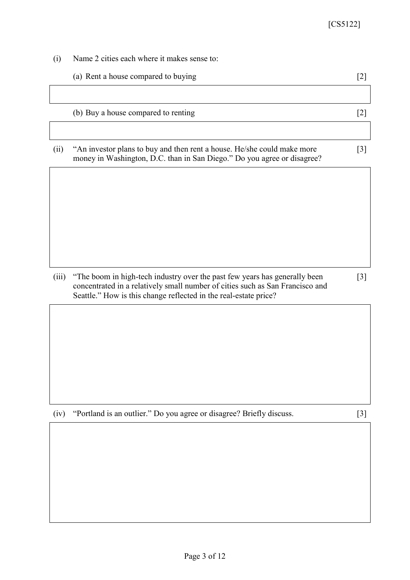- (i) Name 2 cities each where it makes sense to:
	- (a) Rent a house compared to buying [2]

(b) Buy a house compared to renting [2]

(ii) "An investor plans to buy and then rent a house. He/she could make more money in Washington, D.C. than in San Diego." Do you agree or disagree?

(iii) "The boom in high-tech industry over the past few years has generally been concentrated in a relatively small number of cities such as San Francisco and Seattle." How is this change reflected in the real-estate price?

[3]

[3]

(iv) "Portland is an outlier." Do you agree or disagree? Briefly discuss. [3]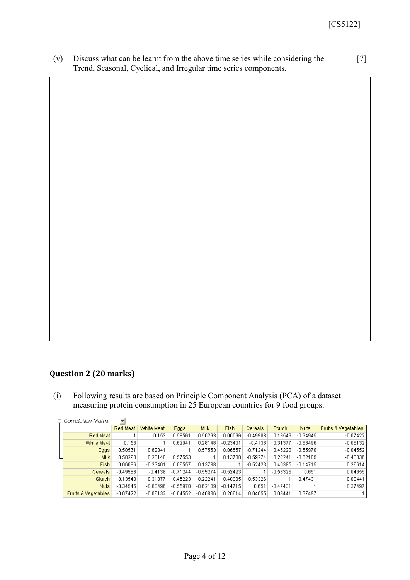(v) Discuss what can be learnt from the above time series while considering the Trend, Seasonal, Cyclical, and Irregular time series components. [7]

# **Question 2 (20 marks)**

(i) Following results are based on Principle Component Analysis (PCA) of a dataset measuring protein consumption in 25 European countries for 9 food groups.

| $\Box$ Correlation Matrix      | $\overline{\phantom{a}}$ |            |            |             |            |            |               |             |                                |
|--------------------------------|--------------------------|------------|------------|-------------|------------|------------|---------------|-------------|--------------------------------|
|                                | Red Meat                 | White Meat | Eggs       | <b>Milk</b> | Fish.      | Cereals    | <b>Starch</b> | <b>Nuts</b> | <b>Fruits &amp; Vegetables</b> |
| Red Meat                       |                          | 0.153      | 0.58561    | 0.50293     | 0.06096    | $-0.49988$ | 0.13543       | $-0.34945$  | $-0.07422$                     |
| White Meat                     | 0.153                    |            | 0.62041    | 0.28148     | $-0.23401$ | $-0.4138$  | 0.31377       | $-0.63496$  | $-0.06132$                     |
| Eggs <sup>1</sup>              | 0.58561                  | 0.62041    |            | 0.57553     | 0.06557    | $-0.71244$ | 0.45223       | $-0.55978$  | $-0.04552$                     |
| Milk <sup>1</sup>              | 0.50293                  | 0.28148    | 0.57553    |             | 0.13788    | $-0.59274$ | 0.22241       | $-0.62109$  | $-0.40836$                     |
| Fish                           | 0.06096                  | $-0.23401$ | 0.06557    | 0.13788     |            | $-0.52423$ | 0.40385       | $-0.14715$  | 0.26614                        |
| Cereals                        | $-0.49988$               | $-0.4138$  | $-0.71244$ | $-0.59274$  | $-0.52423$ |            | $-0.53326$    | 0.651       | 0.04655                        |
| <b>Starch</b>                  | 0.13543                  | 0.31377    | 0.45223    | 0.22241     | 0.40385    | $-0.53326$ |               | $-0.47431$  | 0.08441                        |
| <b>Nuts</b>                    | $-0.34945$               | $-0.63496$ | $-0.55978$ | $-0.62109$  | $-0.14715$ | 0.651      | $-0.47431$    |             | 0.37497                        |
| <b>Fruits &amp; Vegetables</b> | $-0.07422$               | $-0.06132$ | $-0.04552$ | $-0.40836$  | 0.26614    | 0.04655    | 0.08441       | 0.37497     |                                |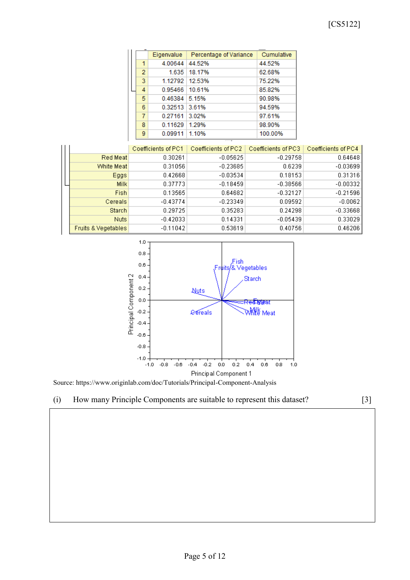## [CS5122]

|  |                | Eigenvalue       | Percentage of Variance | Cumulative |
|--|----------------|------------------|------------------------|------------|
|  | 1              | 4.00644          | 44.52%                 | 44.52%     |
|  | $\overline{2}$ | 1.635            | 18.17%                 | 62.68%     |
|  | 3.             | 1.12792 12.53%   |                        | 75.22%     |
|  | 4              | 0.95466   10.61% |                        | 85.82%     |
|  | 5.             | $0.46384$ 5.15%  |                        | 90.98%     |
|  | 6              | 0.32513 3.61%    |                        | 94.59%     |
|  | 7              | 0.27161          | 3.02%                  | 97.61%     |
|  | 8              | 0.11629          | 1.29%                  | 98.90%     |
|  | 9              | 0.09911          | 1.10%                  | 100.00%    |

|                                | Coefficients of PC1 | Coefficients of PC2 | Coefficients of PC3 | Coefficients of PC4 |
|--------------------------------|---------------------|---------------------|---------------------|---------------------|
| Red Meat                       | 0.30261             | $-0.05625$          | $-0.29758$          | 0.64648             |
| White Meat                     | 0.31056             | $-0.23685$          | 0.6239              | $-0.03699$          |
| Eggs                           | 0.42668             | $-0.03534$          | 0.18153             | 0.31316             |
| <b>Milk</b>                    | 0.37773             | $-0.18459$          | $-0.38566$          | $-0.00332$          |
| Fish                           | 0.13565             | 0.64682             | $-0.32127$          | $-0.21596$          |
| Cereals                        | $-0.43774$          | $-0.23349$          | 0.09592             | $-0.0062$           |
| Starch                         | 0.29725             | 0.35283             | 0.24298             | $-0.33668$          |
| Nuts.                          | $-0.42033$          | 0.14331             | $-0.05439$          | 0.33029             |
| <b>Fruits &amp; Vegetables</b> | $-0.11042$          | 0.53619             | 0.40756             | 0.46206             |



Source: https://www.originlab.com/doc/Tutorials/Principal-Component-Analysis



(i) How many Principle Components are suitable to represent this dataset? [3]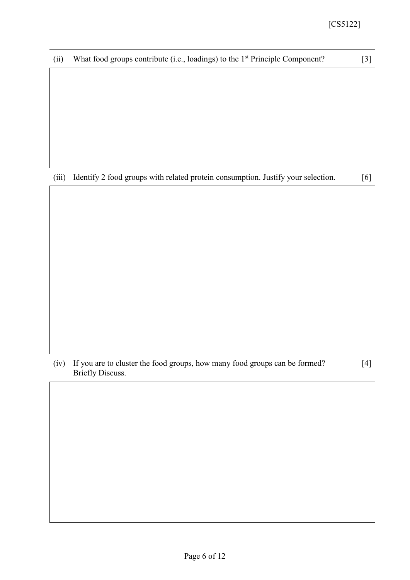|  | (ii) What food groups contribute (i.e., loadings) to the $1st$ Principle Component? | $[3]$ |
|--|-------------------------------------------------------------------------------------|-------|
|--|-------------------------------------------------------------------------------------|-------|

(iii) Identify 2 food groups with related protein consumption. Justify your selection. [6]

[4]

(iv) If you are to cluster the food groups, how many food groups can be formed? Briefly Discuss.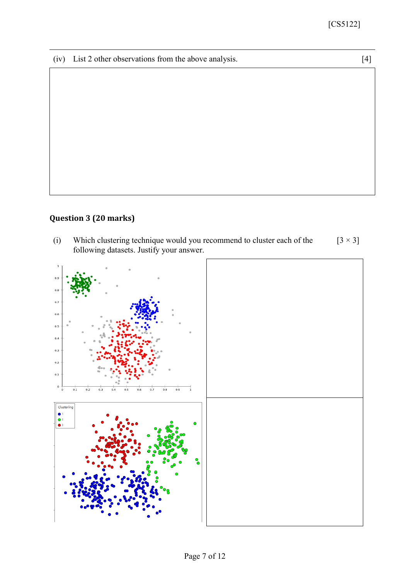(iv) List 2 other observations from the above analysis. [4]

# **Question 3 (20 marks)**

(i) Which clustering technique would you recommend to cluster each of the following datasets. Justify your answer.  $[3 \times 3]$ 

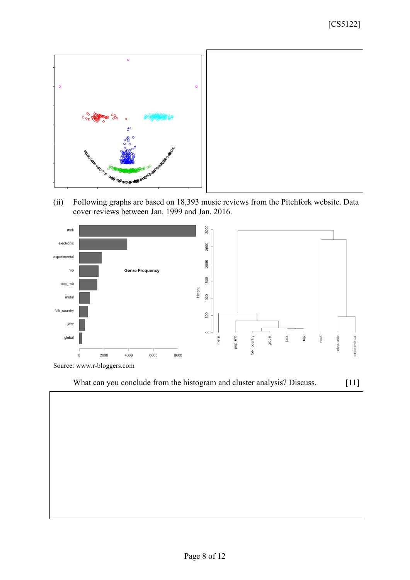

(ii) Following graphs are based on 18,393 music reviews from the Pitchfork website. Data cover reviews between Jan. 1999 and Jan. 2016.





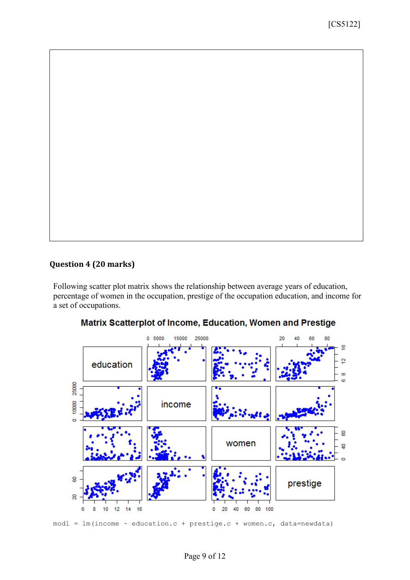## **Question 4 (20 marks)**

Following scatter plot matrix shows the relationship between average years of education, percentage of women in the occupation, prestige of the occupation education, and income for a set of occupations.



## Matrix Scatterplot of Income, Education, Women and Prestige

 $mod1 = lm(income ~ education.c + prestige.c + women.c, data=newdata)$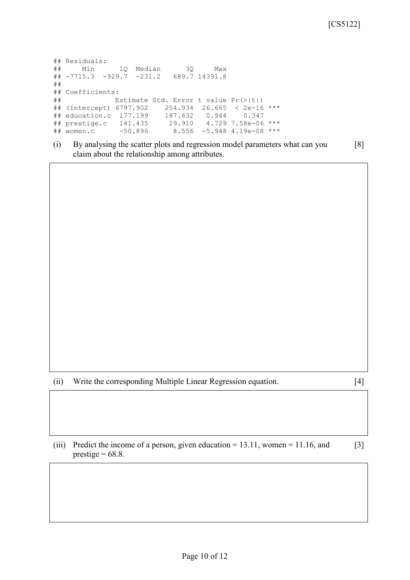```
## Residuals:
## Min 1Q Median 3Q Max 
## -7715.3 -929.7 -231.2 689.7 14391.8 
## 
## Coefficients:
## Estimate Std. Error t value Pr(>|t|) 
## (Intercept) 6797.902 254.934 26.665 < 2e-16 ***
## education.c 177.199 187.632 0.944 0.347 
## prestige.c 141.435 29.910 4.729 7.58e-06 ***
## women.c -50.896 8.556 -5.948 4.19e-08 ***
```
(i) By analysing the scatter plots and regression model parameters what can you claim about the relationship among attributes. [8]

- (ii) Write the corresponding Multiple Linear Regression equation. [4]
- 
- (iii) Predict the income of a person, given education = 13.11, women = 11.16, and prestige  $= 68.8$ . [3]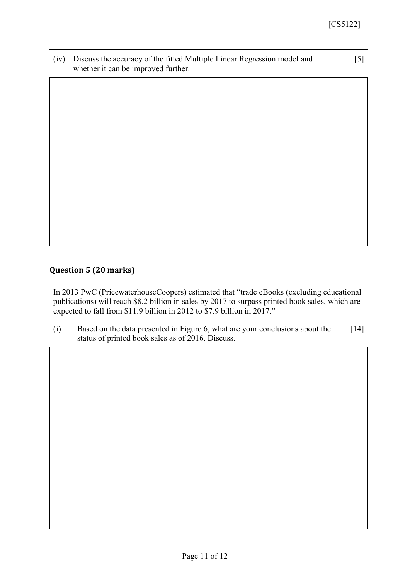(iv) Discuss the accuracy of the fitted Multiple Linear Regression model and whether it can be improved further.

[5]

# **Question 5 (20 marks)**

In 2013 PwC (PricewaterhouseCoopers) estimated that "trade eBooks (excluding educational publications) will reach \$8.2 billion in sales by 2017 to surpass printed book sales, which are expected to fall from \$11.9 billion in 2012 to \$7.9 billion in 2017."

(i) Based on the data presented in Figure 6, what are your conclusions about the status of printed book sales as of 2016. Discuss. [14]